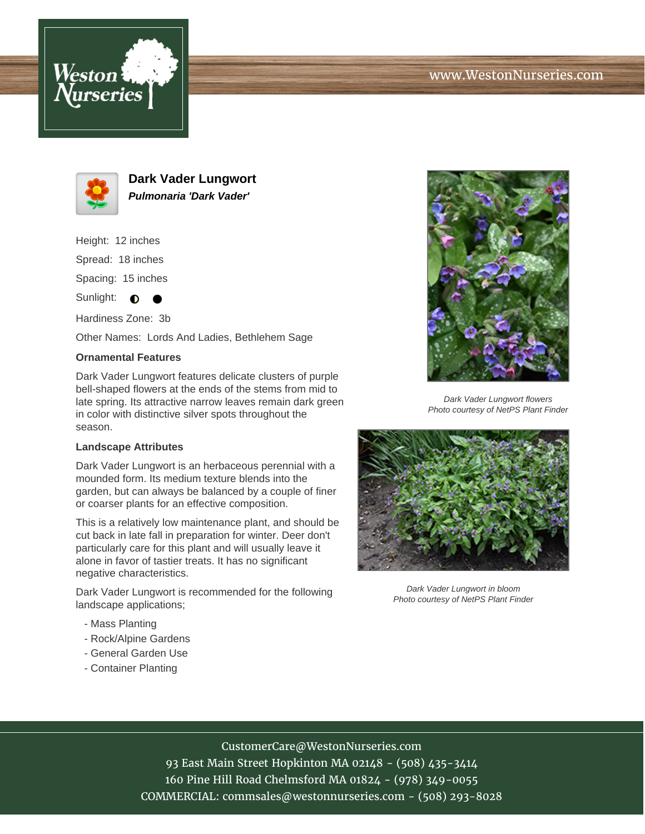



**Dark Vader Lungwort Pulmonaria 'Dark Vader'**

Height: 12 inches Spread: 18 inches Spacing: 15 inches

Sunlight:  $\bullet$  $\bullet$ 

Hardiness Zone: 3b

Other Names: Lords And Ladies, Bethlehem Sage

## **Ornamental Features**

Dark Vader Lungwort features delicate clusters of purple bell-shaped flowers at the ends of the stems from mid to late spring. Its attractive narrow leaves remain dark green in color with distinctive silver spots throughout the season.

## **Landscape Attributes**

Dark Vader Lungwort is an herbaceous perennial with a mounded form. Its medium texture blends into the garden, but can always be balanced by a couple of finer or coarser plants for an effective composition.

This is a relatively low maintenance plant, and should be cut back in late fall in preparation for winter. Deer don't particularly care for this plant and will usually leave it alone in favor of tastier treats. It has no significant negative characteristics.

Dark Vader Lungwort is recommended for the following landscape applications;

- Mass Planting
- Rock/Alpine Gardens
- General Garden Use
- Container Planting



Dark Vader Lungwort flowers Photo courtesy of NetPS Plant Finder



Dark Vader Lungwort in bloom Photo courtesy of NetPS Plant Finder

## CustomerCare@WestonNurseries.com

93 East Main Street Hopkinton MA 02148 - (508) 435-3414 160 Pine Hill Road Chelmsford MA 01824 - (978) 349-0055 COMMERCIAL: commsales@westonnurseries.com - (508) 293-8028